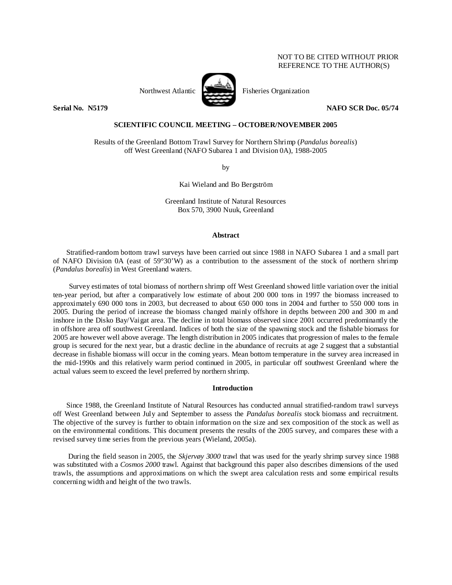# NOT TO BE CITED WITHOUT PRIOR REFERENCE TO THE AUTHOR(S)



Northwest Atlantic **No. 1989** Fisheries Organization

**Serial No. N5179** NAFO SCR Doc. 05/74

# **SCIENTIFIC COUNCIL MEETING – OCTOBER/NOVEMBER 2005**

Results of the Greenland Bottom Trawl Survey for Northern Shrimp (*Pandalus borealis*) off West Greenland (NAFO Subarea 1 and Division 0A), 1988-2005

by

Kai Wieland and Bo Bergström

Greenland Institute of Natural Resources Box 570, 3900 Nuuk, Greenland

### **Abstract**

Stratified-random bottom trawl surveys have been carried out since 1988 in NAFO Subarea 1 and a small part of NAFO Division 0A (east of 59°30'W) as a contribution to the assessment of the stock of northern shrimp (*Pandalus borealis*) in West Greenland waters.

Survey estimates of total biomass of northern shrimp off West Greenland showed little variation over the initial ten-year period, but after a comparatively low estimate of about 200 000 tons in 1997 the biomass increased to approximately 690 000 tons in 2003, but decreased to about 650 000 tons in 2004 and further to 550 000 tons in 2005. During the period of increase the biomass changed mainly offshore in depths between 200 and 300 m and inshore in the Disko Bay/Vaigat area. The decline in total biomass observed since 2001 occurred predominantly the in offshore area off southwest Greenland. Indices of both the size of the spawning stock and the fishable biomass for 2005 are however well above average. The length distribution in 2005 indicates that progression of males to the female group is secured for the next year, but a drastic decline in the abundance of recruits at age 2 suggest that a substantial decrease in fishable biomass will occur in the coming years. Mean bottom temperature in the survey area increased in the mid-1990s and this relatively warm period continued in 2005, in particular off southwest Greenland where the actual values seem to exceed the level preferred by northern shrimp.

### **Introduction**

Since 1988, the Greenland Institute of Natural Resources has conducted annual stratified-random trawl surveys off West Greenland between July and September to assess the *Pandalus borealis* stock biomass and recruitment. The objective of the survey is further to obtain information on the size and sex composition of the stock as well as on the environmental conditions. This document presents the results of the 2005 survey, and compares these with a revised survey time series from the previous years (Wieland, 2005a).

 During the field season in 2005, the *Skjervøy 3000* trawl that was used for the yearly shrimp survey since 1988 was substituted with a *Cosmos 2000* trawl. Against that background this paper also describes dimensions of the used trawls, the assumptions and approximations on which the swept area calculation rests and some empirical results concerning width and height of the two trawls.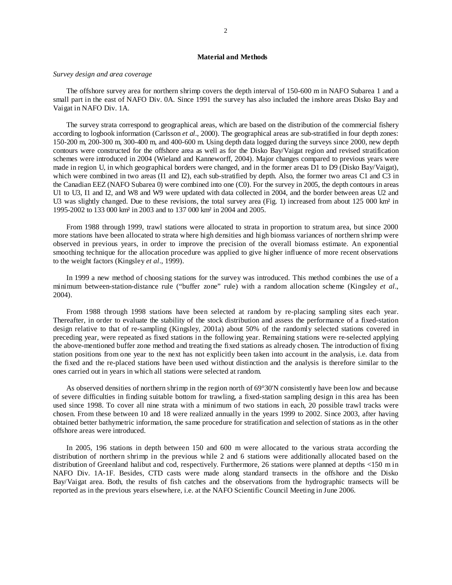# **Material and Methods**

#### *Survey design and area coverage*

The offshore survey area for northern shrimp covers the depth interval of 150-600 m in NAFO Subarea 1 and a small part in the east of NAFO Div. 0A. Since 1991 the survey has also included the inshore areas Disko Bay and Vaigat in NAFO Div. 1A.

The survey strata correspond to geographical areas, which are based on the distribution of the commercial fishery according to logbook information (Carlsson *et al*., 2000). The geographical areas are sub-stratified in four depth zones: 150-200 m, 200-300 m, 300-400 m, and 400-600 m. Using depth data logged during the surveys since 2000, new depth contours were constructed for the offshore area as well as for the Disko Bay/Vaigat region and revised stratification schemes were introduced in 2004 (Wieland and Kanneworff, 2004). Major changes compared to previous years were made in region U, in which geographical borders were changed, and in the former areas D1 to D9 (Disko Bay/Vaigat), which were combined in two areas (I1 and I2), each sub-stratified by depth. Also, the former two areas C1 and C3 in the Canadian EEZ (NAFO Subarea 0) were combined into one (C0). For the survey in 2005, the depth contours in areas U1 to U3, I1 and I2, and W8 and W9 were updated with data collected in 2004, and the border between areas U2 and U3 was slightly changed. Due to these revisions, the total survey area (Fig. 1) increased from about 125 000 km<sup>2</sup> in 1995-2002 to 133 000 km² in 2003 and to 137 000 km² in 2004 and 2005.

From 1988 through 1999, trawl stations were allocated to strata in proportion to stratum area, but since 2000 more stations have been allocated to strata where high densities and high biomass variances of northern shrimp were observed in previous years, in order to improve the precision of the overall biomass estimate. An exponential smoothing technique for the allocation procedure was applied to give higher influence of more recent observations to the weight factors (Kingsley *et al*., 1999).

In 1999 a new method of choosing stations for the survey was introduced. This method combines the use of a minimum between-station-distance rule ("buffer zone" rule) with a random allocation scheme (Kingsley *et al*., 2004).

From 1988 through 1998 stations have been selected at random by re-placing sampling sites each year. Thereafter, in order to evaluate the stability of the stock distribution and assess the performance of a fixed-station design relative to that of re-sampling (Kingsley, 2001a) about 50% of the randomly selected stations covered in preceding year, were repeated as fixed stations in the following year. Remaining stations were re-selected applying the above-mentioned buffer zone method and treating the fixed stations as already chosen. The introduction of fixing station positions from one year to the next has not explicitly been taken into account in the analysis, i.e. data from the fixed and the re-placed stations have been used without distinction and the analysis is therefore similar to the ones carried out in years in which all stations were selected at random.

As observed densities of northern shrimp in the region north of 69°30'N consistently have been low and because of severe difficulties in finding suitable bottom for trawling, a fixed-station sampling design in this area has been used since 1998. To cover all nine strata with a minimum of two stations in each, 20 possible trawl tracks were chosen. From these between 10 and 18 were realized annually in the years 1999 to 2002. Since 2003, after having obtained better bathymetric information, the same procedure for stratification and selection of stations as in the other offshore areas were introduced.

In 2005, 196 stations in depth between 150 and 600 m were allocated to the various strata according the distribution of northern shrimp in the previous while 2 and 6 stations were additionally allocated based on the distribution of Greenland halibut and cod, respectively. Furthermore, 26 stations were planned at depths <150 m in NAFO Div. 1A-1F. Besides, CTD casts were made along standard transects in the offshore and the Disko Bay/Vaigat area. Both, the results of fish catches and the observations from the hydrographic transects will be reported as in the previous years elsewhere, i.e. at the NAFO Scientific Council Meeting in June 2006.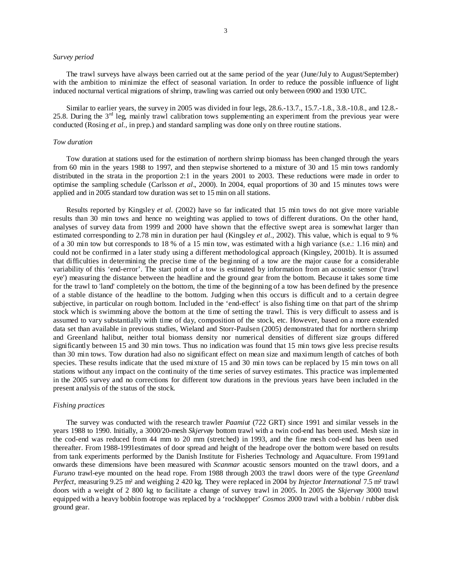### *Survey period*

The trawl surveys have always been carried out at the same period of the year (June/July to August/September) with the ambition to minimize the effect of seasonal variation. In order to reduce the possible influence of light induced nocturnal vertical migrations of shrimp, trawling was carried out only between 0900 and 1930 UTC.

Similar to earlier years, the survey in 2005 was divided in four legs, 28.6.-13.7., 15.7.-1.8., 3.8.-10.8., and 12.8.- 25.8. During the  $3<sup>rd</sup>$  leg, mainly trawl calibration tows supplementing an experiment from the previous year were conducted (Rosing *et al.*, in prep.) and standard sampling was done only on three routine stations.

### *Tow duration*

Tow duration at stations used for the estimation of northern shrimp biomass has been changed through the years from 60 min in the years 1988 to 1997, and then stepwise shortened to a mixture of 30 and 15 min tows randomly distributed in the strata in the proportion 2:1 in the years 2001 to 2003. These reductions were made in order to optimise the sampling schedule (Carlsson *et al*., 2000). In 2004, equal proportions of 30 and 15 minutes tows were applied and in 2005 standard tow duration was set to 15 min on all stations.

Results reported by Kingsley *et al.* (2002) have so far indicated that 15 min tows do not give more variable results than 30 min tows and hence no weighting was applied to tows of different durations. On the other hand, analyses of survey data from 1999 and 2000 have shown that the effective swept area is somewhat larger than estimated corresponding to 2.78 min in duration per haul (Kingsley *et al.*, 2002). This value, which is equal to 9 % of a 30 min tow but corresponds to 18 % of a 15 min tow, was estimated with a high variance (s.e.: 1.16 min) and could not be confirmed in a later study using a different methodological approach (Kingsley, 2001b). It is assumed that difficulties in determining the precise time of the beginning of a tow are the major cause for a considerable variability of this 'end-error'. The start point of a tow is estimated by information from an acoustic sensor ('trawl eye') measuring the distance between the headline and the ground gear from the bottom. Because it takes some time for the trawl to 'land' completely on the bottom, the time of the beginning of a tow has been defined by the presence of a stable distance of the headline to the bottom. Judging when this occurs is difficult and to a certain degree subjective, in particular on rough bottom. Included in the 'end-effect' is also fishing time on that part of the shrimp stock which is swimming above the bottom at the time of setting the trawl. This is very difficult to assess and is assumed to vary substantially with time of day, composition of the stock, etc. However, based on a more extended data set than available in previous studies, Wieland and Storr-Paulsen (2005) demonstrated that for northern shrimp and Greenland halibut, neither total biomass density nor numerical densities of different size groups differed significantly between 15 and 30 min tows. Thus no indication was found that 15 min tows give less precise results than 30 min tows. Tow duration had also no significant effect on mean size and maximum length of catches of both species. These results indicate that the used mixture of 15 and 30 min tows can be replaced by 15 min tows on all stations without any impact on the continuity of the time series of survey estimates. This practice was implemented in the 2005 survey and no corrections for different tow durations in the previous years have been included in the present analysis of the status of the stock.

### *Fishing practices*

The survey was conducted with the research trawler *Paamiut* (722 GRT) since 1991 and similar vessels in the years 1988 to 1990. Initially, a 3000/20-mesh *Skjervøy* bottom trawl with a twin cod-end has been used. Mesh size in the cod-end was reduced from 44 mm to 20 mm (stretched) in 1993, and the fine mesh cod-end has been used thereafter. From 1988-1991estimates of door spread and height of the headrope over the bottom were based on results from tank experiments performed by the Danish Institute for Fisheries Technology and Aquaculture. From 1991and onwards these dimensions have been measured with *Scanmar* acoustic sensors mounted on the trawl doors, and a *Furuno* trawl-eye mounted on the head rope. From 1988 through 2003 the trawl doors were of the type *Greenland Perfect*, measuring 9.25 m² and weighing 2 420 kg. They were replaced in 2004 by *Injector International* 7.5 m² trawl doors with a weight of 2 800 kg to facilitate a change of survey trawl in 2005. In 2005 the *Skjervøy* 3000 trawl equipped with a heavy bobbin footrope was replaced by a 'rockhopper' *Cosmos* 2000 trawl with a bobbin / rubber disk ground gear.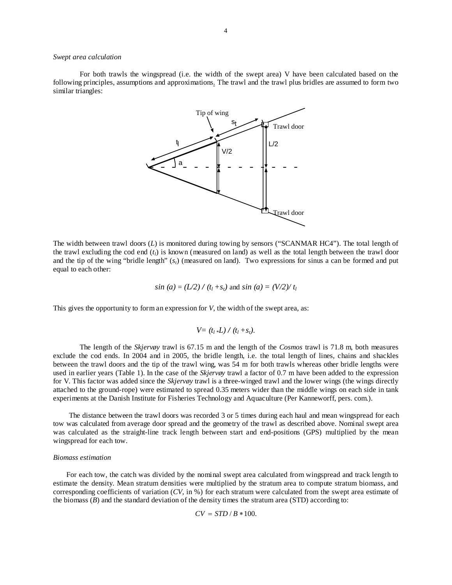### *Swept area calculation*

For both trawls the wingspread (i.e. the width of the swept area) V have been calculated based on the following principles, assumptions and approximations. The trawl and the trawl plus bridles are assumed to form two similar triangles:



The width between trawl doors (*L*) is monitored during towing by sensors ("SCANMAR HC4"). The total length of the trawl excluding the cod end  $(t_l)$  is known (measured on land) as well as the total length between the trawl door and the tip of the wing "bridle length" (*st*) (measured on land). Two expressions for sinus a can be formed and put equal to each other:

$$
\sin (a) = (L/2) / (t_1 + s_t)
$$
 and  $\sin (a) = (V/2) / t_1$ 

This gives the opportunity to form an expression for *V*, the width of the swept area, as:

$$
V=(t_l *L) / (t_l + s_t).
$$

The length of the *Skjervøy* trawl is 67.15 m and the length of the *Cosmos* trawl is 71.8 m, both measures exclude the cod ends. In 2004 and in 2005, the bridle length, i.e. the total length of lines, chains and shackles between the trawl doors and the tip of the trawl wing, was 54 m for both trawls whereas other bridle lengths were used in earlier years (Table 1). In the case of the *Skjervøy* trawl a factor of 0.7 m have been added to the expression for V. This factor was added since the *Skjervøy* trawl is a three-winged trawl and the lower wings (the wings directly attached to the ground-rope) were estimated to spread 0.35 meters wider than the middle wings on each side in tank experiments at the Danish Institute for Fisheries Technology and Aquaculture (Per Kanneworff, pers. com.).

The distance between the trawl doors was recorded 3 or 5 times during each haul and mean wingspread for each tow was calculated from average door spread and the geometry of the trawl as described above. Nominal swept area was calculated as the straight-line track length between start and end-positions (GPS) multiplied by the mean wingspread for each tow.

### *Biomass estimation*

For each tow, the catch was divided by the nominal swept area calculated from wingspread and track length to estimate the density. Mean stratum densities were multiplied by the stratum area to compute stratum biomass, and corresponding coefficients of variation (*CV*, in %) for each stratum were calculated from the swept area estimate of the biomass  $(B)$  and the standard deviation of the density times the stratum area (STD) according to:

$$
CV = STD / B * 100.
$$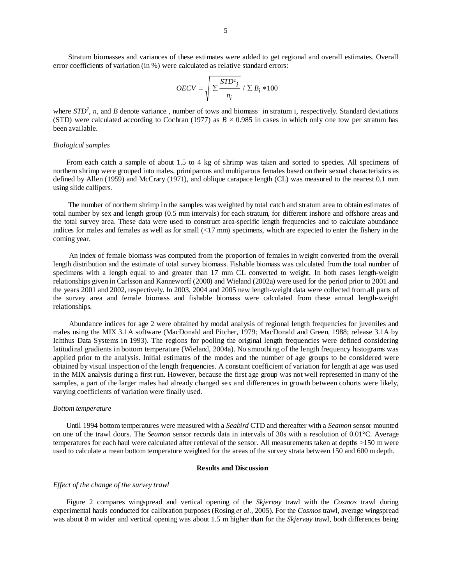Stratum biomasses and variances of these estimates were added to get regional and overall estimates. Overall error coefficients of variation (in %) were calculated as relative standard errors:

$$
OECV = \sqrt{\sum \frac{STD^2_i}{n_i}} / \sum B_i * 100
$$

where  $STD^2$ , *n*, and *B* denote variance, number of tows and biomass in stratum i, respectively. Standard deviations (STD) were calculated according to Cochran (1977) as  $B \times 0.985$  in cases in which only one tow per stratum has been available.

### *Biological samples*

From each catch a sample of about 1.5 to 4 kg of shrimp was taken and sorted to species. All specimens of northern shrimp were grouped into males, primiparous and multiparous females based on their sexual characteristics as defined by Allen (1959) and McCrary (1971), and oblique carapace length (CL) was measured to the nearest 0.1 mm using slide callipers.

 The number of northern shrimp in the samples was weighted by total catch and stratum area to obtain estimates of total number by sex and length group (0.5 mm intervals) for each stratum, for different inshore and offshore areas and the total survey area. These data were used to construct area-specific length frequencies and to calculate abundance indices for males and females as well as for small (<17 mm) specimens, which are expected to enter the fishery in the coming year.

An index of female biomass was computed from the proportion of females in weight converted from the overall length distribution and the estimate of total survey biomass. Fishable biomass was calculated from the total number of specimens with a length equal to and greater than 17 mm CL converted to weight. In both cases length-weight relationships given in Carlsson and Kanneworff (2000) and Wieland (2002a) were used for the period prior to 2001 and the years 2001 and 2002, respectively. In 2003, 2004 and 2005 new length-weight data were collected from all parts of the survey area and female biomass and fishable biomass were calculated from these annual length-weight relationships.

Abundance indices for age 2 were obtained by modal analysis of regional length frequencies for juveniles and males using the MIX 3.1A software (MacDonald and Pitcher, 1979; MacDonald and Green, 1988; release 3.1A by Ichthus Data Systems in 1993). The regions for pooling the original length frequencies were defined considering latitudinal gradients in bottom temperature (Wieland, 2004a). No smoothing of the length frequency histograms was applied prior to the analysis. Initial estimates of the modes and the number of age groups to be considered were obtained by visual inspection of the length frequencies. A constant coefficient of variation for length at age was used in the MIX analysis during a first run. However, because the first age group was not well represented in many of the samples, a part of the larger males had already changed sex and differences in growth between cohorts were likely, varying coefficients of variation were finally used.

#### *Bottom temperature*

Until 1994 bottom temperatures were measured with a *Seabird* CTD and thereafter with a *Seamon* sensor mounted on one of the trawl doors. The *Seamon* sensor records data in intervals of 30s with a resolution of 0.01°C. Average temperatures for each haul were calculated after retrieval of the sensor. All measurements taken at depths >150 m were used to calculate a mean bottom temperature weighted for the areas of the survey strata between 150 and 600 m depth.

#### **Results and Discussion**

#### *Effect of the change of the survey trawl*

Figure 2 compares wingspread and vertical opening of the *Skjervøy* trawl with the *Cosmos* trawl during experimental hauls conducted for calibration purposes (Rosing *et al.*, 2005). For the *Cosmos* trawl, average wingspread was about 8 m wider and vertical opening was about 1.5 m higher than for the *Skjervøy* trawl, both differences being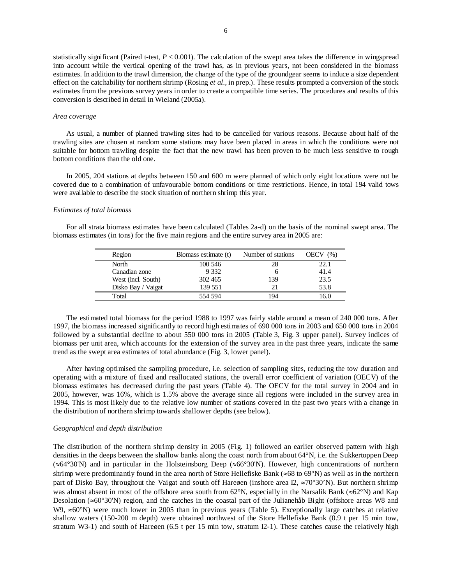statistically significant (Paired t-test, *P* < 0.001). The calculation of the swept area takes the difference in wingspread into account while the vertical opening of the trawl has, as in previous years, not been considered in the biomass estimates. In addition to the trawl dimension, the change of the type of the groundgear seems to induce a size dependent effect on the catchability for northern shrimp (Rosing *et al.*, in prep.). These results prompted a conversion of the stock estimates from the previous survey years in order to create a compatible time series. The procedures and results of this conversion is described in detail in Wieland (2005a).

### *Area coverage*

As usual, a number of planned trawling sites had to be cancelled for various reasons. Because about half of the trawling sites are chosen at random some stations may have been placed in areas in which the conditions were not suitable for bottom trawling despite the fact that the new trawl has been proven to be much less sensitive to rough bottom conditions than the old one.

In 2005, 204 stations at depths between 150 and 600 m were planned of which only eight locations were not be covered due to a combination of unfavourable bottom conditions or time restrictions. Hence, in total 194 valid tows were available to describe the stock situation of northern shrimp this year.

#### *Estimates of total biomass*

For all strata biomass estimates have been calculated (Tables 2a-d) on the basis of the nominal swept area. The biomass estimates (in tons) for the five main regions and the entire survey area in 2005 are:

| Region             | Biomass estimate (t) | Number of stations | (96)<br><b>OECV</b> |
|--------------------|----------------------|--------------------|---------------------|
| North              | 100 546              | 28                 | 22.1                |
| Canadian zone      | 9 3 3 2              | h                  | 41.4                |
| West (incl. South) | 302 465              | 139                | 23.5                |
| Disko Bay / Vaigat | 139 551              | 21                 | 53.8                |
| Total              | 554 594              | 194                | 16.0                |

The estimated total biomass for the period 1988 to 1997 was fairly stable around a mean of 240 000 tons. After 1997, the biomass increased significantly to record high estimates of 690 000 tons in 2003 and 650 000 tons in 2004 followed by a substantial decline to about 550 000 tons in 2005 (Table 3, Fig. 3 upper panel). Survey indices of biomass per unit area, which accounts for the extension of the survey area in the past three years, indicate the same trend as the swept area estimates of total abundance (Fig. 3, lower panel).

After having optimised the sampling procedure, i.e. selection of sampling sites, reducing the tow duration and operating with a mixture of fixed and reallocated stations, the overall error coefficient of variation (OECV) of the biomass estimates has decreased during the past years (Table 4). The OECV for the total survey in 2004 and in 2005, however, was 16%, which is 1.5% above the average since all regions were included in the survey area in 1994. This is most likely due to the relative low number of stations covered in the past two years with a change in the distribution of northern shrimp towards shallower depths (see below).

#### *Geographical and depth distribution*

The distribution of the northern shrimp density in 2005 (Fig. 1) followed an earlier observed pattern with high densities in the deeps between the shallow banks along the coast north from about 64°N, i.e. the Sukkertoppen Deep (≈64°30'N) and in particular in the Holsteinsborg Deep (≈66°30'N). However, high concentrations of northern shrimp were predominantly found in the area north of Store Hellefiske Bank ( $\approx 68$  to  $69^{\circ}$ N) as well as in the northern part of Disko Bay, throughout the Vaigat and south off Haregen (inshore area  $I2$ ,  $\approx 70^{\circ}30^{\circ}$ N). But northern shrimp was almost absent in most of the offshore area south from 62°N, especially in the Narsalik Bank (≈62°N) and Kap Desolation (≈60°30'N) region, and the catches in the coastal part of the Julianehåb Bight (offshore areas W8 and W9, ≈60°N) were much lower in 2005 than in previous years (Table 5). Exceptionally large catches at relative shallow waters (150-200 m depth) were obtained northwest of the Store Hellefiske Bank (0.9 t per 15 min tow, stratum W3-1) and south of Hareøen (6.5 t per 15 min tow, stratum I2-1). These catches cause the relatively high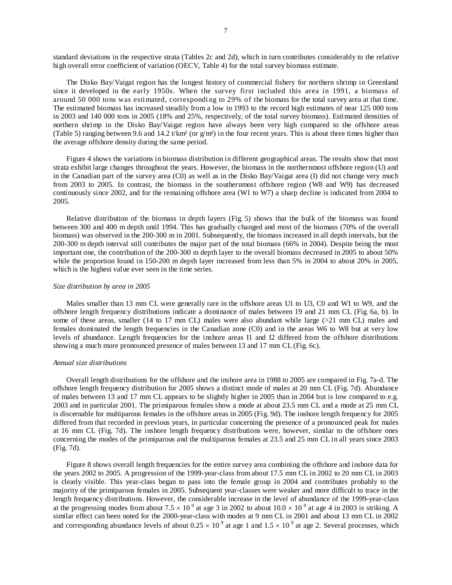standard deviations in the respective strata (Tables 2c and 2d), which in turn contributes considerably to the relative high overall error coefficient of variation (OECV, Table 4) for the total survey biomass estimate.

The Disko Bay/Vaigat region has the longest history of commercial fishery for northern shrimp in Greenland since it developed in the early 1950s. When the survey first included this area in 1991, a biomass of around 50 000 tons was estimated, corresponding to 29% of the biomass for the total survey area at that time. The estimated biomass has increased steadily from a low in 1993 to the record high estimates of near 125 000 tons in 2003 and 140 000 tons in 2005 (18% and 25%, respectively, of the total survey biomass). Estimated densities of northern shrimp in the Disko Bay/Vaigat region have always been very high compared to the offshore areas (Table 5) ranging between 9.6 and 14.2  $t/km^2$  (or  $g/m^2$ ) in the four recent years. This is about three times higher than the average offshore density during the same period.

Figure 4 shows the variations in biomass distribution in different geographical areas. The results show that most strata exhibit large changes throughout the years. However, the biomass in the northernmost offshore region (U) and in the Canadian part of the survey area (C0) as well as in the Disko Bay/Vaigat area (I) did not change very much from 2003 to 2005. In contrast, the biomass in the southernmost offshore region (W8 and W9) has decreased continuously since 2002, and for the remaining offshore area (W1 to W7) a sharp decline is indicated from 2004 to 2005.

Relative distribution of the biomass in depth layers (Fig. 5) shows that the bulk of the biomass was found between 300 and 400 m depth until 1994. This has gradually changed and most of the biomass (70% of the overall biomass) was observed in the 200-300 m in 2001. Subsequently, the biomass increased in all depth intervals, but the 200-300 m depth interval still contributes the major part of the total biomass (66% in 2004). Despite being the most important one, the contribution of the 200-300 m depth layer to the overall biomass decreased in 2005 to about 50% while the proportion found in 150-200 m depth layer increased from less than 5% in 2004 to about 20% in 2005, which is the highest value ever seen in the time series.

#### *Size distribution by area in 2005*

Males smaller than 13 mm CL were generally rare in the offshore areas U1 to U3, C0 and W1 to W9, and the offshore length frequency distributions indicate a dominance of males between 19 and 21 mm CL (Fig. 6a, b). In some of these areas, smaller (14 to 17 mm CL) males were also abundant while large (>21 mm CL) males and females dominated the length frequencies in the Canadian zone (C0) and in the areas W6 to W8 but at very low levels of abundance. Length frequencies for the inshore areas I1 and I2 differed from the offshore distributions showing a much more pronounced presence of males between 13 and 17 mm CL (Fig. 6c).

### *Annual size distributions*

Overall length distributions for the offshore and the inshore area in 1988 to 2005 are compared in Fig. 7a-d. The offshore length frequency distribution for 2005 shows a distinct mode of males at 20 mm CL (Fig. 7d). Abundance of males between 13 and 17 mm CL appears to be slightly higher in 2005 than in 2004 but is low compared to e.g. 2003 and in particular 2001. The primiparous females show a mode at about 23.5 mm CL and a mode at 25 mm CL is discernable for multiparous females in the offshore areas in 2005 (Fig. 9d). The inshore length frequency for 2005 differed from that recorded in previous years, in particular concerning the presence of a pronounced peak for males at 16 mm CL (Fig. 7d). The inshore length frequency distributions were, however, similar to the offshore ones concerning the modes of the primiparous and the multiparous females at 23.5 and 25 mm CL in all years since 2003 (Fig. 7d).

Figure 8 shows overall length frequencies for the entire survey area combining the offshore and inshore data for the years 2002 to 2005. A progression of the 1999-year-class from about 17.5 mm CL in 2002 to 20 mm CL in 2003 is clearly visible. This year-class began to pass into the female group in 2004 and contributes probably to the majority of the primiparous females in 2005. Subsequent year-classes were weaker and more difficult to trace in the length frequency distributions. However, the considerable increase in the level of abundance of the 1999-year-class at the progressing modes from about  $7.5 \times 10^{-9}$  at age 3 in 2002 to about  $10.0 \times 10^{-9}$  at age 4 in 2003 is striking. A similar effect can been noted for the 2000-year-class with modes at 9 mm CL in 2001 and about 13 mm CL in 2002 and corresponding abundance levels of about  $0.25 \times 10^9$  at age 1 and  $1.5 \times 10^9$  at age 2. Several processes, which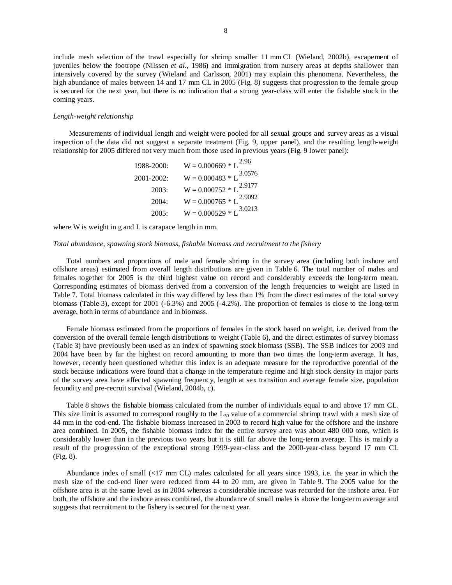include mesh selection of the trawl especially for shrimp smaller 11 mm CL (Wieland, 2002b), escapement of juveniles below the footrope (Nilssen *et al.*, 1986) and immigration from nursery areas at depths shallower than intensively covered by the survey (Wieland and Carlsson, 2001) may explain this phenomena. Nevertheless, the high abundance of males between 14 and 17 mm CL in 2005 (Fig. 8) suggests that progression to the female group is secured for the next year, but there is no indication that a strong year-class will enter the fishable stock in the coming years.

#### *Length-weight relationship*

Measurements of individual length and weight were pooled for all sexual groups and survey areas as a visual inspection of the data did not suggest a separate treatment (Fig. 9, upper panel), and the resulting length-weight relationship for 2005 differed not very much from those used in previous years (Fig. 9 lower panel):

| 1988-2000: $W = 0.000669 * L^{2.96}$   |
|----------------------------------------|
| 2001-2002: $W = 0.000483 * L^{3.0576}$ |
| 2003: $W = 0.000752 * L^{2.9177}$      |
| 2004: $W = 0.000765 * L^{2.9092}$      |
| 2005: $W = 0.000529 * L^{3.0213}$      |
|                                        |

where W is weight in g and L is carapace length in mm.

# *Total abundance, spawning stock biomass, fishable biomass and recruitment to the fishery*

Total numbers and proportions of male and female shrimp in the survey area (including both inshore and offshore areas) estimated from overall length distributions are given in Table 6. The total number of males and females together for 2005 is the third highest value on record and considerably exceeds the long-term mean. Corresponding estimates of biomass derived from a conversion of the length frequencies to weight are listed in Table 7. Total biomass calculated in this way differed by less than 1% from the direct estimates of the total survey biomass (Table 3), except for 2001 (-6.3%) and 2005 (-4.2%). The proportion of females is close to the long-term average, both in terms of abundance and in biomass.

Female biomass estimated from the proportions of females in the stock based on weight, i.e. derived from the conversion of the overall female length distributions to weight (Table 6), and the direct estimates of survey biomass (Table 3) have previously been used as an index of spawning stock biomass (SSB). The SSB indices for 2003 and 2004 have been by far the highest on record amounting to more than two times the long-term average. It has, however, recently been questioned whether this index is an adequate measure for the reproductive potential of the stock because indications were found that a change in the temperature regime and high stock density in major parts of the survey area have affected spawning frequency, length at sex transition and average female size, population fecundity and pre-recruit survival (Wieland, 2004b, c).

Table 8 shows the fishable biomass calculated from the number of individuals equal to and above 17 mm CL. This size limit is assumed to correspond roughly to the  $L_{50}$  value of a commercial shrimp trawl with a mesh size of 44 mm in the cod-end. The fishable biomass increased in 2003 to record high value for the offshore and the inshore area combined. In 2005, the fishable biomass index for the entire survey area was about 480 000 tons, which is considerably lower than in the previous two years but it is still far above the long-term average. This is mainly a result of the progression of the exceptional strong 1999-year-class and the 2000-year-class beyond 17 mm CL (Fig. 8).

Abundance index of small (<17 mm CL) males calculated for all years since 1993, i.e. the year in which the mesh size of the cod-end liner were reduced from 44 to 20 mm, are given in Table 9. The 2005 value for the offshore area is at the same level as in 2004 whereas a considerable increase was recorded for the inshore area. For both, the offshore and the inshore areas combined, the abundance of small males is above the long-term average and suggests that recruitment to the fishery is secured for the next year.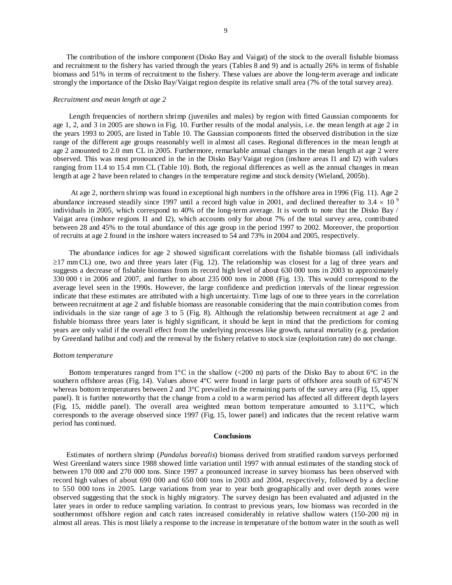The contribution of the inshore component (Disko Bay and Vaigat) of the stock to the overall fishable biomass and recruitment to the fishery has varied through the years (Tables 8 and 9) and is actually 26% in terms of fishable biomass and 51% in terms of recruitment to the fishery. These values are above the long-term average and indicate strongly the importance of the Disko Bay/Vaigat region despite its relative small area (7% of the total survey area).

#### *Recruitment and mean length at age 2*

Length frequencies of northern shrimp (juveniles and males) by region with fitted Gaussian components for age 1, 2, and 3 in 2005 are shown in Fig. 10. Further results of the modal analysis, i.e. the mean length at age 2 in the years 1993 to 2005, are listed in Table 10. The Gaussian components fitted the observed distribution in the size range of the different age groups reasonably well in almost all cases. Regional differences in the mean length at age 2 amounted to 2.0 mm CL in 2005. Furthermore, remarkable annual changes in the mean length at age 2 were observed. This was most pronounced in the in the Disko Bay/Vaigat region (inshore areas I1 and I2) with values ranging from 11.4 to 15.4 mm CL (Table 10). Both, the regional differences as well as the annual changes in mean length at age 2 have been related to changes in the temperature regime and stock density (Wieland, 2005b).

At age 2, northern shrimp was found in exceptional high numbers in the offshore area in 1996 (Fig. 11). Age 2 abundance increased steadily since 1997 until a record high value in 2001, and declined thereafter to 3.4  $\times$  10<sup>9</sup> individuals in 2005, which correspond to 40% of the long-term average. It is worth to note that the Disko Bay / Vaigat area (inshore regions I1 and I2), which accounts only for about 7% of the total survey area, contributed between 28 and 45% to the total abundance of this age group in the period 1997 to 2002. Moreover, the proportion of recruits at age 2 found in the inshore waters increased to 54 and 73% in 2004 and 2005, respectively.

The abundance indices for age 2 showed significant correlations with the fishable biomass (all individuals ≥17 mm CL) one, two and three years later (Fig. 12). The relationship was closest for a lag of three years and suggests a decrease of fishable biomass from its record high level of about 630 000 tons in 2003 to approximately 330 000 t in 2006 and 2007, and further to about 235 000 tons in 2008 (Fig. 13). This would correspond to the average level seen in the 1990s. However, the large confidence and prediction intervals of the linear regression indicate that these estimates are attributed with a high uncertainty. Time lags of one to three years in the correlation between recruitment at age 2 and fishable biomass are reasonable considering that the main contribution comes from individuals in the size range of age 3 to 5 (Fig. 8). Although the relationship between recruitment at age 2 and fishable biomass three years later is highly significant, it should be kept in mind that the predictions for coming years are only valid if the overall effect from the underlying processes like growth, natural mortality (e.g. predation by Greenland halibut and cod) and the removal by the fishery relative to stock size (exploitation rate) do not change.

#### *Bottom temperature*

Bottom temperatures ranged from  $1^{\circ}$ C in the shallow (<200 m) parts of the Disko Bay to about 6 $^{\circ}$ C in the southern offshore areas (Fig. 14). Values above 4°C were found in large parts of offshore area south of 63°45'N whereas bottom temperatures between 2 and 3<sup>o</sup>C prevailed in the remaining parts of the survey area (Fig. 15, upper panel). It is further noteworthy that the change from a cold to a warm period has affected all different depth layers (Fig. 15, middle panel). The overall area weighted mean bottom temperature amounted to 3.11°C, which corresponds to the average observed since 1997 (Fig. 15, lower panel) and indicates that the recent relative warm period has continued.

# **Conclusions**

Estimates of northern shrimp (*Pandalus borealis*) biomass derived from stratified random surveys performed West Greenland waters since 1988 showed little variation until 1997 with annual estimates of the standing stock of between 170 000 and 270 000 tons. Since 1997 a pronounced increase in survey biomass has been observed with record high values of about 690 000 and 650 000 tons in 2003 and 2004, respectively, followed by a decline to 550 000 tons in 2005. Large variations from year to year both geographically and over depth zones were observed suggesting that the stock is highly migratory. The survey design has been evaluated and adjusted in the later years in order to reduce sampling variation. In contrast to previous years, low biomass was recorded in the southernmost offshore region and catch rates increased considerably in relative shallow waters (150-200 m) in almost all areas. This is most likely a response to the increase in temperature of the bottom water in the south as well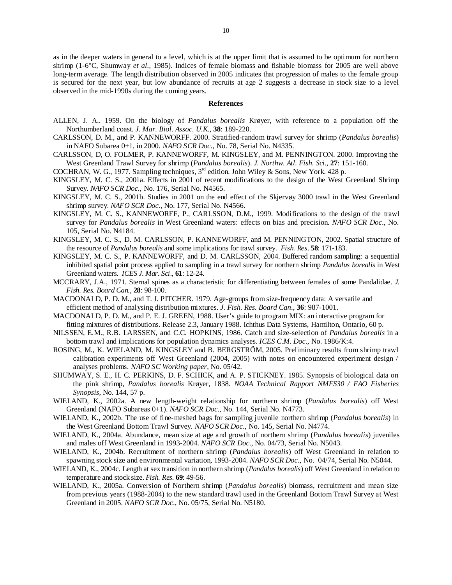as in the deeper waters in general to a level, which is at the upper limit that is assumed to be optimum for northern shrimp (1-6°C, Shumway *et al.*, 1985). Indices of female biomass and fishable biomass for 2005 are well above long-term average. The length distribution observed in 2005 indicates that progression of males to the female group is secured for the next year, but low abundance of recruits at age 2 suggests a decrease in stock size to a level observed in the mid-1990s during the coming years.

### **References**

- ALLEN, J. A.. 1959. On the biology of *Pandalus borealis* Krøyer, with reference to a population off the Northumberland coast*. J. Mar. Biol. Assoc. U.K*., **38**: 189-220.
- CARLSSON, D. M., and P. KANNEWORFF. 2000. Stratified-random trawl survey for shrimp (*Pandalus borealis*) in NAFO Subarea 0+1, in 2000. *NAFO SCR Doc*., No. 78, Serial No. N4335.
- CARLSSON, D, O. FOLMER, P. KANNEWORFF, M. KINGSLEY, and M. PENNINGTON. 2000. Improving the West Greenland Trawl Survey for shrimp (*Pandalus borealis*). *J. Northw. Atl. Fish. Sci*., **27**: 151-160.
- COCHRAN, W. G., 1977. Sampling techniques, 3rd edition. John Wiley & Sons, New York. 428 p.
- KINGSLEY, M. C. S., 2001a. Effects in 2001 of recent modifications to the design of the West Greenland Shrimp Survey. *NAFO SCR Doc.,* No. 176, Serial No. N4565.
- KINGSLEY, M. C. S., 2001b. Studies in 2001 on the end effect of the Skjervøy 3000 trawl in the West Greenland shrimp survey. *NAFO SCR Doc.,* No. 177, Serial No. N4566.
- KINGSLEY, M. C. S., KANNEWORFF, P., CARLSSON, D.M., 1999. Modifications to the design of the trawl survey for *Pandalus borealis* in West Greenland waters: effects on bias and precision. *NAFO SCR Doc*., No. 105, Serial No. N4184.
- KINGSLEY, M. C. S., D. M. CARLSSON, P. KANNEWORFF, and M. PENNINGTON, 2002. Spatial structure of the resource of *Pandalus borealis* and some implications for trawl survey. *Fish. Res*. **58**: 171-183.
- KINGSLEY, M. C. S., P. KANNEWORFF, and D. M. CARLSSON, 2004. Buffered random sampling: a sequential inhibited spatial point process applied to sampling in a trawl survey for northern shrimp *Pandalus borealis* in West Greenland waters. *ICES J. Mar. Sci*., **61**: 12-24.
- MCCRARY, J.A., 1971. Sternal spines as a characteristic for differentiating between females of some Pandalidae. *J. Fish. Res. Board Can.*, **28**: 98-100.
- MACDONALD, P. D. M., and T. J. PITCHER. 1979. Age-groups from size-frequency data: A versatile and efficient method of analysing distribution mixtures. *J. Fish. Res. Board Can*., **36**: 987-1001.
- MACDONALD, P. D. M., and P. E. J. GREEN, 1988. User's guide to program MIX: an interactive program for fitting mixtures of distributions. Release 2.3, January 1988. Ichthus Data Systems, Hamilton, Ontario, 60 p.
- NILSSEN, E.M., R.B. LARSSEN, and C.C. HOPKINS, 1986. Catch and size-selection of *Pandalus borealis* in a bottom trawl and implications for population dynamics analyses. *ICES C.M. Doc*., No. 1986/K:4.
- ROSING, M., K. WIELAND, M. KINGSLEY and B. BERGSTRÖM, 2005. Preliminary results from shrimp trawl calibration experiments off West Greenland (2004, 2005) with notes on encountered experiment design / analyses problems. *NAFO SC Working paper*, No. 05/42.
- SHUMWAY, S. E., H. C. PERKINS, D. F. SCHICK, and A. P. STICKNEY. 1985. Synopsis of biological data on the pink shrimp, *Pandalus borealis* Krøyer, 1838. *NOAA Technical Rapport NMFS30 / FAO Fisheries Synopsis*, No. 144, 57 p.
- WIELAND, K., 2002a. A new length-weight relationship for northern shrimp (*Pandalus borealis*) off West Greenland (NAFO Subareas 0+1). *NAFO SCR Doc*., No. 144, Serial No. N4773.
- WIELAND, K., 2002b. The use of fine-meshed bags for sampling juvenile northern shrimp (*Pandalus borealis*) in the West Greenland Bottom Trawl Survey. *NAFO SCR Doc*., No. 145, Serial No. N4774.
- WIELAND, K., 2004a. Abundance, mean size at age and growth of northern shrimp (*Pandalus borealis*) juveniles and males off West Greenland in 1993-2004. *NAFO SCR Doc*., No. 04/73, Serial No. N5043.
- WIELAND, K., 2004b. Recruitment of northern shrimp (*Pandalus borealis*) off West Greenland in relation to spawning stock size and environmental variation, 1993-2004. *NAFO SCR Doc*., No. 04/74, Serial No. N5044.
- WIELAND, K., 2004c. Length at sex transition in northern shrimp (*Pandalus borealis*) off West Greenland in relation to temperature and stock size. *Fish. Res.* **69**: 49-56.
- WIELAND, K., 2005a. Conversion of Northern shrimp (*Pandalus borealis*) biomass, recruitment and mean size from previous years (1988-2004) to the new standard trawl used in the Greenland Bottom Trawl Survey at West Greenland in 2005. *NAFO SCR Doc*., No. 05/75, Serial No. N5180.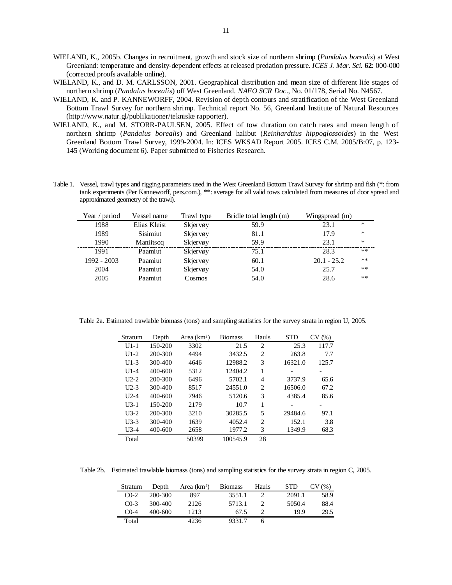- WIELAND, K., 2005b. Changes in recruitment, growth and stock size of northern shrimp (*Pandalus borealis*) at West Greenland: temperature and density-dependent effects at released predation pressure. *ICES J. Mar. Sci.* **62**: 000-000 (corrected proofs available online).
- WIELAND, K., and D. M. CARLSSON, 2001. Geographical distribution and mean size of different life stages of northern shrimp (*Pandalus borealis*) off West Greenland. *NAFO SCR Doc*., No. 01/178, Serial No. N4567.
- WIELAND, K. and P. KANNEWORFF, 2004. Revision of depth contours and stratification of the West Greenland Bottom Trawl Survey for northern shrimp. Technical report No. 56, Greenland Institute of Natural Resources (http://www.natur.gl/publikationer/tekniske rapporter).
- WIELAND, K., and M. STORR-PAULSEN, 2005. Effect of tow duration on catch rates and mean length of northern shrimp (*Pandalus borealis*) and Greenland halibut (*Reinhardtius hippoglossoides*) in the West Greenland Bottom Trawl Survey, 1999-2004. In: ICES WKSAD Report 2005. ICES C.M. 2005/B:07, p. 123- 145 (Working document 6). Paper submitted to Fisheries Research.
- Table 1. Vessel, trawl types and rigging parameters used in the West Greenland Bottom Trawl Survey for shrimp and fish (\*: from tank experiments (Per Kanneworff, pers.com.), \*\*: average for all valid tows calculated from measures of door spread and approximated geometry of the trawl).

| Year / period | Vessel name     | Trawl type | Bridle total length (m) | Wingspread (m) |               |
|---------------|-----------------|------------|-------------------------|----------------|---------------|
| 1988          | Elias Kleist    | Skjervøy   | 59.9                    | 23.1           | $\ast$        |
| 1989          | <i>Sisimiut</i> | Skjervøy   | 81.1                    | 17.9           | $\ast$        |
| 1990          | Maniitsog       | Skjervøy   | 59.9                    | 23.1           | $\ast$        |
| 1991          | Paamiut         | Skjervøy   | 75.1                    | 28.3           | $**$          |
| $1992 - 2003$ | Paamiut         | Skjervøy   | 60.1                    | $20.1 - 25.2$  | $\ast$ $\ast$ |
| 2004          | Paamiut         | Skjervøy   | 54.0                    | 25.7           | $\ast$ $\ast$ |
| 2005          | Paamiut         | Cosmos     | 54.0                    | 28.6           | $\ast$ $\ast$ |

Table 2a. Estimated trawlable biomass (tons) and sampling statistics for the survey strata in region U, 2005.

| Stratum | Depth       | Area (km <sup>2</sup> ) | <b>Biomass</b> | Hauls          | <b>STD</b> | CV(%) |
|---------|-------------|-------------------------|----------------|----------------|------------|-------|
| $U1-1$  | 150-200     | 3302                    | 21.5           | $\overline{c}$ | 25.3       | 117.7 |
| $U1-2$  | 200-300     | 4494                    | 3432.5         | $\overline{c}$ | 263.8      | 7.7   |
| $U1-3$  | 300-400     | 4646                    | 12988.2        | 3              | 16321.0    | 125.7 |
| $U1-4$  | $400 - 600$ | 5312                    | 12404.2        | 1              | -          |       |
| $U2-2$  | 200-300     | 6496                    | 5702.1         | 4              | 3737.9     | 65.6  |
| $U2-3$  | 300-400     | 8517                    | 24551.0        | $\overline{c}$ | 16506.0    | 67.2  |
| $U2-4$  | $400 - 600$ | 7946                    | 5120.6         | 3              | 4385.4     | 85.6  |
| $U3-1$  | 150-200     | 2179                    | 10.7           | 1              |            |       |
| $U3-2$  | 200-300     | 3210                    | 30285.5        | 5              | 29484.6    | 97.1  |
| $U3-3$  | 300-400     | 1639                    | 4052.4         | $\mathfrak{D}$ | 152.1      | 3.8   |
| $U3-4$  | 400-600     | 2658                    | 1977.2         | 3              | 1349.9     | 68.3  |
| Total   |             | 50399                   | 100545.9       | 28             |            |       |

Table 2b. Estimated trawlable biomass (tons) and sampling statistics for the survey strata in region C, 2005.

| Stratum   | Depth   | Area (km <sup>2</sup> ) | <b>Biomass</b> | Hauls | <b>STD</b> | CV(%) |
|-----------|---------|-------------------------|----------------|-------|------------|-------|
| $C_{0-2}$ | 200-300 | 897                     | 3551.1         |       | 2091.1     | 58.9  |
| $C_{0-3}$ | 300-400 | 2126                    | 5713.1         |       | 5050.4     | 88.4  |
| $C0-4$    | 400-600 | 1213                    | 67.5           |       | 19.9       | 29.5  |
| Total     |         | 4236                    | 9331.7         |       |            |       |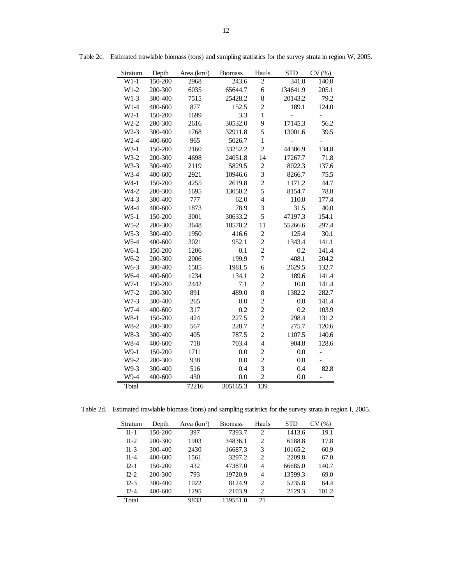| Stratum           | Depth   | Area (km <sup>2</sup> ) | <b>Biomass</b> | Hauls          | <b>STD</b>     | CV(%)          |
|-------------------|---------|-------------------------|----------------|----------------|----------------|----------------|
| $W1-1$            | 150-200 | 2968                    | 243.6          | $\overline{c}$ | 341.0          | 140.0          |
| $W1-2$            | 200-300 | 6035                    | 65644.7        | 6              | 134641.9       | 205.1          |
| $W1-3$            | 300-400 | 7515                    | 25428.2        | 8              | 20143.2        | 79.2           |
| $W1-4$            | 400-600 | 877                     | 152.5          | $\overline{c}$ | 189.1          | 124.0          |
| $W2-1$            | 150-200 | 1699                    | 3.3            | $\mathbf{1}$   | $\overline{a}$ |                |
| $W2-2$            | 200-300 | 2616                    | 30532.0        | 9              | 17145.3        | 56.2           |
| $W2-3$            | 300-400 | 1768                    | 32911.8        | 5              | 13001.6        | 39.5           |
| $W2-4$            | 400-600 | 965                     | 5026.7         | $\mathbf{1}$   |                |                |
| $W3-1$            | 150-200 | 2160                    | 33252.2        | $\overline{c}$ | 44386.9        | 134.8          |
| $W3-2$            | 200-300 | 4698                    | 24051.8        | 14             | 17267.7        | 71.8           |
| $W3-3$            | 300-400 | 2119                    | 5829.5         | $\overline{c}$ | 8022.3         | 137.6          |
| W3-4              | 400-600 | 2921                    | 10946.6        | 3              | 8266.7         | 75.5           |
| $W4-1$            | 150-200 | 4255                    | 2619.8         | $\overline{c}$ | 1171.2         | 44.7           |
| W4-2              | 200-300 | 1695                    | 13050.2        | 5              | 8154.7         | 78.8           |
| W4-3              | 300-400 | 777                     | 62.0           | $\overline{4}$ | 110.0          | 177.4          |
| W4-4              | 400-600 | 1873                    | 78.9           | 3              | 31.5           | 40.0           |
| $W5-1$            | 150-200 | 3001                    | 30633.2        | 5              | 47197.3        | 154.1          |
| $W5-2$            | 200-300 | 3648                    | 18570.2        | 11             | 55266.6        | 297.4          |
| $W5-3$            | 300-400 | 1950                    | 416.6          | $\overline{c}$ | 125.4          | 30.1           |
| $W5-4$            | 400-600 | 3021                    | 952.1          | $\overline{c}$ | 1343.4         | 141.1          |
| W <sub>6</sub> -1 | 150-200 | 1206                    | 0.1            | $\overline{c}$ | 0.2            | 141.4          |
| W6-2              | 200-300 | 2006                    | 199.9          | $\overline{7}$ | 408.1          | 204.2          |
| W <sub>6</sub> -3 | 300-400 | 1585                    | 1981.5         | 6              | 2629.5         | 132.7          |
| W6-4              | 400-600 | 1234                    | 134.1          | $\overline{c}$ | 189.6          | 141.4          |
| $W7-1$            | 150-200 | 2442                    | 7.1            | $\overline{c}$ | 10.0           | 141.4          |
| W7-2              | 200-300 | 891                     | 489.0          | 8              | 1382.2         | 282.7          |
| W7-3              | 300-400 | 265                     | 0.0            | $\overline{c}$ | 0.0            | 141.4          |
| W7-4              | 400-600 | 317                     | 0.2            | $\overline{c}$ | 0.2            | 103.9          |
| W8-1              | 150-200 | 424                     | 227.5          | $\overline{c}$ | 298.4          | 131.2          |
| W8-2              | 200-300 | 567                     | 228.7          | $\overline{c}$ | 275.7          | 120.6          |
| W8-3              | 300-400 | 405                     | 787.5          | $\overline{c}$ | 1107.5         | 140.6          |
| W8-4              | 400-600 | 718                     | 703.4          | $\overline{4}$ | 904.8          | 128.6          |
| W9-1              | 150-200 | 1711                    | 0.0            | $\overline{c}$ | 0.0            | $\overline{a}$ |
| W9-2              | 200-300 | 938                     | 0.0            | $\overline{c}$ | 0.0            |                |
| W9-3              | 300-400 | 516                     | 0.4            | 3              | 0.4            | 82.8           |
| W9-4              | 400-600 | 430                     | 0.0            | $\overline{2}$ | 0.0            |                |
| Total             |         | 72216                   | 305165.3       | 139            |                |                |

Table 2c. Estimated trawlable biomass (tons) and sampling statistics for the survey strata in region W, 2005.

Table 2d. Estimated trawlable biomass (tons) and sampling statistics for the survey strata in region I, 2005.

| Stratum  | Depth   | Area (km <sup>2</sup> ) | <b>Biomass</b> | Hauls          | <b>STD</b> | V(%)  |
|----------|---------|-------------------------|----------------|----------------|------------|-------|
| $I1 - 1$ | 150-200 | 397                     | 7393.7         | 2              | 1413.6     | 19.1  |
| $I1-2$   | 200-300 | 1903                    | 34836.1        | $\overline{c}$ | 6188.8     | 17.8  |
| $I1-3$   | 300-400 | 2430                    | 16687.3        | 3              | 10165.2    | 60.9  |
| $I1-4$   | 400-600 | 1561                    | 3297.2         | 2              | 2209.8     | 67.0  |
| $12 - 1$ | 150-200 | 432                     | 47387.0        | 4              | 66685.0    | 140.7 |
| $I2-2$   | 200-300 | 793                     | 19720.9        | 4              | 13599.3    | 69.0  |
| $I2-3$   | 300-400 | 1022                    | 8124.9         | $\mathcal{L}$  | 5235.8     | 64.4  |
| $I2-4$   | 400-600 | 1295                    | 2103.9         | $\mathcal{L}$  | 2129.3     | 101.2 |
| Total    |         | 9833                    | 139551.0       | 21             |            |       |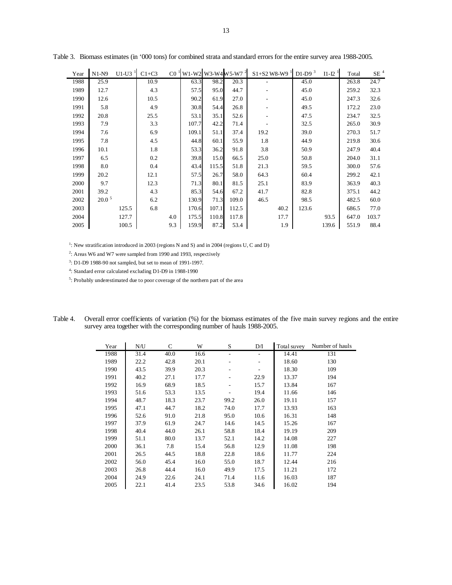| Year | $N1-N9$           | $U1-U3-1$ | $C1+C3$ |     |       |       | C0 <sup>1</sup> W1-W2 W3-W4 W5-W7 <sup>2</sup> | $S1+S2$ W8-W9 <sup>1</sup> |      | D1-D9 $3$ | $I1-I2-1$ | Total | SE <sup>4</sup> |
|------|-------------------|-----------|---------|-----|-------|-------|------------------------------------------------|----------------------------|------|-----------|-----------|-------|-----------------|
| 1988 | 25.9              |           | 10.9    |     | 63.3  | 98.2  | 20.3                                           | $\overline{a}$             |      | 45.0      |           | 263.8 | 24.7            |
| 1989 | 12.7              |           | 4.3     |     | 57.5  | 95.0  | 44.7                                           |                            |      | 45.0      |           | 259.2 | 32.3            |
| 1990 | 12.6              |           | 10.5    |     | 90.2  | 61.9  | 27.0                                           |                            |      | 45.0      |           | 247.3 | 32.6            |
| 1991 | 5.8               |           | 4.9     |     | 30.8  | 54.4  | 26.8                                           |                            |      | 49.5      |           | 172.2 | 23.0            |
| 1992 | 20.8              |           | 25.5    |     | 53.1  | 35.1  | 52.6                                           |                            |      | 47.5      |           | 234.7 | 32.5            |
| 1993 | 7.9               |           | 3.3     |     | 107.7 | 42.2  | 71.4                                           |                            |      | 32.5      |           | 265.0 | 30.9            |
| 1994 | 7.6               |           | 6.9     |     | 109.1 | 51.1  | 37.4                                           | 19.2                       |      | 39.0      |           | 270.3 | 51.7            |
| 1995 | 7.8               |           | 4.5     |     | 44.8  | 60.1  | 55.9                                           | 1.8                        |      | 44.9      |           | 219.8 | 30.6            |
| 1996 | 10.1              |           | 1.8     |     | 53.3  | 36.2  | 91.8                                           | 3.8                        |      | 50.9      |           | 247.9 | 40.4            |
| 1997 | 6.5               |           | 0.2     |     | 39.8  | 15.0  | 66.5                                           | 25.0                       |      | 50.8      |           | 204.0 | 31.1            |
| 1998 | 8.0               |           | 0.4     |     | 43.4  | 115.5 | 51.8                                           | 21.3                       |      | 59.5      |           | 300.0 | 57.6            |
| 1999 | 20.2              |           | 12.1    |     | 57.5  | 26.7  | 58.0                                           | 64.3                       |      | 60.4      |           | 299.2 | 42.1            |
| 2000 | 9.7               |           | 12.3    |     | 71.3  | 80.1  | 81.5                                           | 25.1                       |      | 83.9      |           | 363.9 | 40.3            |
| 2001 | 39.2              |           | 4.3     |     | 85.3  | 54.6  | 67.2                                           | 41.7                       |      | 82.8      |           | 375.1 | 44.2            |
| 2002 | $20.0$ $^{\rm 5}$ |           | 6.2     |     | 130.9 | 71.3  | 109.0                                          | 46.5                       |      | 98.5      |           | 482.5 | 60.0            |
| 2003 |                   | 125.5     | 6.8     |     | 170.6 | 107.1 | 112.5                                          |                            | 40.2 | 123.6     |           | 686.5 | 77.0            |
| 2004 |                   | 127.7     |         | 4.0 | 175.5 | 110.8 | 117.8                                          |                            | 17.7 |           | 93.5      | 647.0 | 103.7           |
| 2005 |                   | 100.5     |         | 9.3 | 159.9 | 87.2  | 53.4                                           |                            | 1.9  |           | 139.6     | 551.9 | 88.4            |

Table 3. Biomass estimates (in '000 tons) for combined strata and standard errors for the entire survey area 1988-2005.

<sup>1</sup>: New stratification introduced in 2003 (regions N and S) and in 2004 (regions U, C and D)

2: Areas W6 and W7 were sampled from 1990 and 1993, respectively

3: D1-D9 1988-90 not sampled, but set to mean of 1991-1997.

4: Standard error calculated excluding D1-D9 in 1988-1990

5: Probably underestimated due to poor coverage of the northern part of the area

| Table 4. Overall error coefficients of variation (%) for the biomass estimates of the five main survey regions and the entire |
|-------------------------------------------------------------------------------------------------------------------------------|
| survey area together with the corresponding number of hauls 1988-2005.                                                        |

| Year | N/U  | C    | W    | S                        | D/I                      | Total suvey | Number of hauls |
|------|------|------|------|--------------------------|--------------------------|-------------|-----------------|
| 1988 | 31.4 | 40.0 | 16.6 | $\overline{\phantom{0}}$ | ۰                        | 14.41       | 131             |
| 1989 | 22.2 | 42.8 | 20.1 | $\overline{\phantom{0}}$ | $\overline{\phantom{a}}$ | 18.60       | 130             |
| 1990 | 43.5 | 39.9 | 20.3 | ۰                        | $\overline{\phantom{a}}$ | 18.30       | 109             |
| 1991 | 40.2 | 27.1 | 17.7 | ۰                        | 22.9                     | 13.37       | 194             |
| 1992 | 16.9 | 68.9 | 18.5 | ۰                        | 15.7                     | 13.84       | 167             |
| 1993 | 51.6 | 53.3 | 13.5 | ۰                        | 19.4                     | 11.66       | 146             |
| 1994 | 48.7 | 18.3 | 23.7 | 99.2                     | 26.0                     | 19.11       | 157             |
| 1995 | 47.1 | 44.7 | 18.2 | 74.0                     | 17.7                     | 13.93       | 163             |
| 1996 | 52.6 | 91.0 | 21.8 | 95.0                     | 10.6                     | 16.31       | 148             |
| 1997 | 37.9 | 61.9 | 24.7 | 14.6                     | 14.5                     | 15.26       | 167             |
| 1998 | 40.4 | 44.0 | 26.1 | 58.8                     | 18.4                     | 19.19       | 209             |
| 1999 | 51.1 | 80.0 | 13.7 | 52.1                     | 14.2                     | 14.08       | 227             |
| 2000 | 36.1 | 7.8  | 15.4 | 56.8                     | 12.9                     | 11.08       | 198             |
| 2001 | 26.5 | 44.5 | 18.8 | 22.8                     | 18.6                     | 11.77       | 224             |
| 2002 | 56.0 | 45.4 | 16.0 | 55.0                     | 18.7                     | 12.44       | 216             |
| 2003 | 26.8 | 44.4 | 16.0 | 49.9                     | 17.5                     | 11.21       | 172             |
| 2004 | 24.9 | 22.6 | 24.1 | 71.4                     | 11.6                     | 16.03       | 187             |
| 2005 | 22.1 | 41.4 | 23.5 | 53.8                     | 34.6                     | 16.02       | 194             |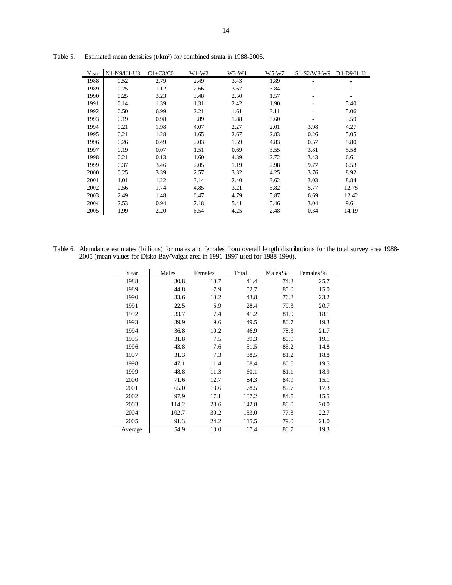| Year | N1-N9/U1-U3 | $C1+C3/CO$ | W1-W2 | W3-W4 | W <sub>5</sub> -W <sub>7</sub> | $S1-S2/W8-W9$ | $D1-D9/I1-I2$ |
|------|-------------|------------|-------|-------|--------------------------------|---------------|---------------|
| 1988 | 0.52        | 2.79       | 2.49  | 3.43  | 1.89                           | ۰             | ٠             |
| 1989 | 0.25        | 1.12       | 2.66  | 3.67  | 3.84                           | ٠             |               |
| 1990 | 0.25        | 3.23       | 3.48  | 2.50  | 1.57                           | ۰             | ۰             |
| 1991 | 0.14        | 1.39       | 1.31  | 2.42  | 1.90                           | ۰             | 5.40          |
| 1992 | 0.50        | 6.99       | 2.21  | 1.61  | 3.11                           | ۰             | 5.06          |
| 1993 | 0.19        | 0.98       | 3.89  | 1.88  | 3.60                           | ۰             | 3.59          |
| 1994 | 0.21        | 1.98       | 4.07  | 2.27  | 2.01                           | 3.98          | 4.27          |
| 1995 | 0.21        | 1.28       | 1.65  | 2.67  | 2.83                           | 0.26          | 5.05          |
| 1996 | 0.26        | 0.49       | 2.03  | 1.59  | 4.83                           | 0.57          | 5.80          |
| 1997 | 0.19        | 0.07       | 1.51  | 0.69  | 3.55                           | 3.81          | 5.58          |
| 1998 | 0.21        | 0.13       | 1.60  | 4.89  | 2.72                           | 3.43          | 6.61          |
| 1999 | 0.37        | 3.46       | 2.05  | 1.19  | 2.98                           | 9.77          | 6.53          |
| 2000 | 0.25        | 3.39       | 2.57  | 3.32  | 4.25                           | 3.76          | 8.92          |
| 2001 | 1.01        | 1.22       | 3.14  | 2.40  | 3.62                           | 3.03          | 8.84          |
| 2002 | 0.56        | 1.74       | 4.85  | 3.21  | 5.82                           | 5.77          | 12.75         |
| 2003 | 2.49        | 1.48       | 6.47  | 4.79  | 5.87                           | 6.69          | 12.42         |
| 2004 | 2.53        | 0.94       | 7.18  | 5.41  | 5.46                           | 3.04          | 9.61          |
| 2005 | 1.99        | 2.20       | 6.54  | 4.25  | 2.48                           | 0.34          | 14.19         |

Table 5. Estimated mean densities (t/km<sup>2</sup>) for combined strata in 1988-2005.

Table 6. Abundance estimates (billions) for males and females from overall length distributions for the total survey area 1988- 2005 (mean values for Disko Bay/Vaigat area in 1991-1997 used for 1988-1990).

| Year    | Males | Females | Total | Males % | Females % |
|---------|-------|---------|-------|---------|-----------|
| 1988    | 30.8  | 10.7    | 41.4  | 74.3    | 25.7      |
| 1989    | 44.8  | 7.9     | 52.7  | 85.0    | 15.0      |
| 1990    | 33.6  | 10.2    | 43.8  | 76.8    | 23.2      |
| 1991    | 22.5  | 5.9     | 28.4  | 79.3    | 20.7      |
| 1992    | 33.7  | 7.4     | 41.2  | 81.9    | 18.1      |
| 1993    | 39.9  | 9.6     | 49.5  | 80.7    | 19.3      |
| 1994    | 36.8  | 10.2    | 46.9  | 78.3    | 21.7      |
| 1995    | 31.8  | 7.5     | 39.3  | 80.9    | 19.1      |
| 1996    | 43.8  | 7.6     | 51.5  | 85.2    | 14.8      |
| 1997    | 31.3  | 7.3     | 38.5  | 81.2    | 18.8      |
| 1998    | 47.1  | 11.4    | 58.4  | 80.5    | 19.5      |
| 1999    | 48.8  | 11.3    | 60.1  | 81.1    | 18.9      |
| 2000    | 71.6  | 12.7    | 84.3  | 84.9    | 15.1      |
| 2001    | 65.0  | 13.6    | 78.5  | 82.7    | 17.3      |
| 2002    | 97.9  | 17.1    | 107.2 | 84.5    | 15.5      |
| 2003    | 114.2 | 28.6    | 142.8 | 80.0    | 20.0      |
| 2004    | 102.7 | 30.2    | 133.0 | 77.3    | 22.7      |
| 2005    | 91.3  | 24.2    | 115.5 | 79.0    | 21.0      |
| Average | 54.9  | 13.0    | 67.4  | 80.7    | 19.3      |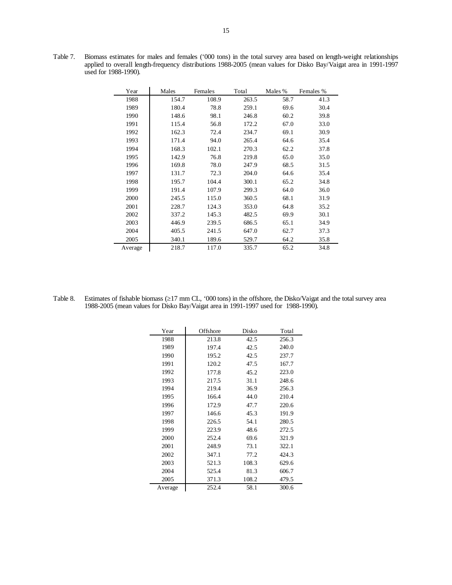Table 7. Biomass estimates for males and females ('000 tons) in the total survey area based on length-weight relationships applied to overall length-frequency distributions 1988-2005 (mean values for Disko Bay/Vaigat area in 1991-1997 used for 1988-1990).

| Year    | Males | Females | Total | Males % | Females % |
|---------|-------|---------|-------|---------|-----------|
| 1988    | 154.7 | 108.9   | 263.5 | 58.7    | 41.3      |
| 1989    | 180.4 | 78.8    | 259.1 | 69.6    | 30.4      |
| 1990    | 148.6 | 98.1    | 246.8 | 60.2    | 39.8      |
| 1991    | 115.4 | 56.8    | 172.2 | 67.0    | 33.0      |
| 1992    | 162.3 | 72.4    | 234.7 | 69.1    | 30.9      |
| 1993    | 171.4 | 94.0    | 265.4 | 64.6    | 35.4      |
| 1994    | 168.3 | 102.1   | 270.3 | 62.2    | 37.8      |
| 1995    | 142.9 | 76.8    | 219.8 | 65.0    | 35.0      |
| 1996    | 169.8 | 78.0    | 247.9 | 68.5    | 31.5      |
| 1997    | 131.7 | 72.3    | 204.0 | 64.6    | 35.4      |
| 1998    | 195.7 | 104.4   | 300.1 | 65.2    | 34.8      |
| 1999    | 191.4 | 107.9   | 299.3 | 64.0    | 36.0      |
| 2000    | 245.5 | 115.0   | 360.5 | 68.1    | 31.9      |
| 2001    | 228.7 | 124.3   | 353.0 | 64.8    | 35.2      |
| 2002    | 337.2 | 145.3   | 482.5 | 69.9    | 30.1      |
| 2003    | 446.9 | 239.5   | 686.5 | 65.1    | 34.9      |
| 2004    | 405.5 | 241.5   | 647.0 | 62.7    | 37.3      |
| 2005    | 340.1 | 189.6   | 529.7 | 64.2    | 35.8      |
| Average | 218.7 | 117.0   | 335.7 | 65.2    | 34.8      |

Table 8. Estimates of fishable biomass (≥17 mm CL, '000 tons) in the offshore, the Disko/Vaigat and the total survey area 1988-2005 (mean values for Disko Bay/Vaigat area in 1991-1997 used for 1988-1990).

| Year    | Offshore | Disko | Total |
|---------|----------|-------|-------|
| 1988    | 213.8    | 42.5  | 256.3 |
| 1989    | 197.4    | 42.5  | 240.0 |
| 1990    | 195.2    | 42.5  | 237.7 |
| 1991    | 120.2    | 47.5  | 167.7 |
| 1992    | 177.8    | 45.2  | 223.0 |
| 1993    | 217.5    | 31.1  | 248.6 |
| 1994    | 219.4    | 36.9  | 256.3 |
| 1995    | 166.4    | 44.0  | 210.4 |
| 1996    | 172.9    | 47.7  | 220.6 |
| 1997    | 146.6    | 45.3  | 191.9 |
| 1998    | 226.5    | 54.1  | 280.5 |
| 1999    | 223.9    | 48.6  | 272.5 |
| 2000    | 252.4    | 69.6  | 321.9 |
| 2001    | 248.9    | 73.1  | 322.1 |
| 2002    | 347.1    | 77.2  | 424.3 |
| 2003    | 521.3    | 108.3 | 629.6 |
| 2004    | 525.4    | 81.3  | 606.7 |
| 2005    | 371.3    | 108.2 | 479.5 |
| Average | 252.4    | 58.1  | 300.6 |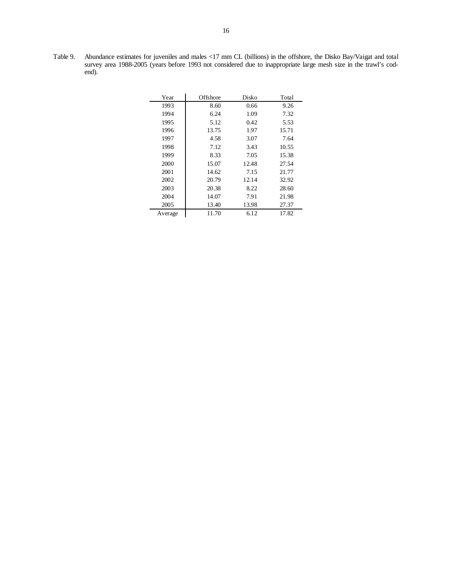Table 9. Abundance estimates for juveniles and males <17 mm CL (billions) in the offshore, the Disko Bay/Vaigat and total survey area 1988-2005 (years before 1993 not considered due to inappropriate large mesh size in the trawl's codend).

| Year    | Offshore | Disko | Total |
|---------|----------|-------|-------|
| 1993    | 8.60     | 0.66  | 9.26  |
| 1994    | 6.24     | 1.09  | 7.32  |
| 1995    | 5.12     | 0.42  | 5.53  |
| 1996    | 13.75    | 1.97  | 15.71 |
| 1997    | 4.58     | 3.07  | 7.64  |
| 1998    | 7.12     | 3.43  | 10.55 |
| 1999    | 8.33     | 7.05  | 15.38 |
| 2000    | 15.07    | 12.48 | 27.54 |
| 2001    | 14.62    | 7.15  | 21.77 |
| 2002    | 20.79    | 12.14 | 32.92 |
| 2003    | 20.38    | 8.22  | 28.60 |
| 2004    | 14.07    | 7.91  | 21.98 |
| 2005    | 13.40    | 13.98 | 27.37 |
| Average | 11.70    | 6.12  | 17.82 |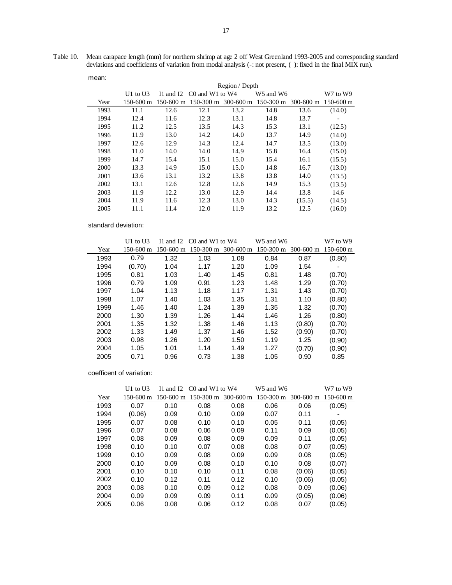Table 10. Mean carapace length (mm) for northern shrimp at age 2 off West Greenland 1993-2005 and corresponding standard deviations and coefficients of variation from modal analysis (-: not present, ( ): fixed in the final MIX run).

| mean: |                |               |                         |      |             |               |               |  |
|-------|----------------|---------------|-------------------------|------|-------------|---------------|---------------|--|
|       | Region / Depth |               |                         |      |             |               |               |  |
|       | U1 to U3       | $I1$ and $I2$ | $C0$ and W1 to W4       |      | W5 and W6   |               | W7 to W9      |  |
| Year  | 150-600 m      | $150 - 600$ m | $150-300$ m $300-600$ m |      | $150-300$ m | $300 - 600$ m | $150 - 600$ m |  |
| 1993  | 11.1           | 12.6          | 12.1                    | 13.2 | 14.8        | 13.6          | (14.0)        |  |
| 1994  | 12.4           | 11.6          | 12.3                    | 13.1 | 14.8        | 13.7          |               |  |
| 1995  | 11.2           | 12.5          | 13.5                    | 14.3 | 15.3        | 13.1          | (12.5)        |  |
| 1996  | 11.9           | 13.0          | 14.2                    | 14.0 | 13.7        | 14.9          | (14.0)        |  |
| 1997  | 12.6           | 12.9          | 14.3                    | 12.4 | 14.7        | 13.5          | (13.0)        |  |
| 1998  | 11.0           | 14.0          | 14.0                    | 14.9 | 15.8        | 16.4          | (15.0)        |  |
| 1999  | 14.7           | 15.4          | 15.1                    | 15.0 | 15.4        | 16.1          | (15.5)        |  |
| 2000  | 13.3           | 14.9          | 15.0                    | 15.0 | 14.8        | 16.7          | (13.0)        |  |
| 2001  | 13.6           | 13.1          | 13.2                    | 13.8 | 13.8        | 14.0          | (13.5)        |  |
| 2002  | 13.1           | 12.6          | 12.8                    | 12.6 | 14.9        | 15.3          | (13.5)        |  |
| 2003  | 11.9           | 12.2          | 13.0                    | 12.9 | 14.4        | 13.8          | 14.6          |  |
| 2004  | 11.9           | 11.6          | 12.3                    | 13.0 | 14.3        | (15.5)        | (14.5)        |  |
| 2005  | 11.1           | 11.4          | 12.0                    | 11.9 | 13.2        | 12.5          | (16.0)        |  |

standard deviation:

|      | $U1$ to $U3$ | $I1$ and $I2$ | $C0$ and W1 to W4 |      | W <sub>5</sub> and W <sub>6</sub> |               | W7 to W9      |
|------|--------------|---------------|-------------------|------|-----------------------------------|---------------|---------------|
| Year | 150-600 m    | $150 - 600$ m | $150-300$ m       |      | $300-600 \text{ m}$ 150-300 m     | $300 - 600$ m | $150 - 600$ m |
| 1993 | 0.79         | 1.32          | 1.03              | 1.08 | 0.84                              | 0.87          | (0.80)        |
| 1994 | (0.70)       | 1.04          | 1.17              | 1.20 | 1.09                              | 1.54          |               |
| 1995 | 0.81         | 1.03          | 1.40              | 1.45 | 0.81                              | 1.48          | (0.70)        |
| 1996 | 0.79         | 1.09          | 0.91              | 1.23 | 1.48                              | 1.29          | (0.70)        |
| 1997 | 1.04         | 1.13          | 1.18              | 1.17 | 1.31                              | 1.43          | (0.70)        |
| 1998 | 1.07         | 1.40          | 1.03              | 1.35 | 1.31                              | 1.10          | (0.80)        |
| 1999 | 1.46         | 1.40          | 1.24              | 1.39 | 1.35                              | 1.32          | (0.70)        |
| 2000 | 1.30         | 1.39          | 1.26              | 1.44 | 1.46                              | 1.26          | (0.80)        |
| 2001 | 1.35         | 1.32          | 1.38              | 1.46 | 1.13                              | (0.80)        | (0.70)        |
| 2002 | 1.33         | 1.49          | 1.37              | 1.46 | 1.52                              | (0.90)        | (0.70)        |
| 2003 | 0.98         | 1.26          | 1.20              | 1.50 | 1.19                              | 1.25          | (0.90)        |
| 2004 | 1.05         | 1.01          | 1.14              | 1.49 | 1.27                              | (0.70)        | (0.90)        |
| 2005 | 0.71         | 0.96          | 0.73              | 1.38 | 1.05                              | 0.90          | 0.85          |

coefficent of variation:

|      | $U1$ to $U3$ | $I1$ and $I2$ | $C0$ and W1 to W4 |               | W <sub>5</sub> and W <sub>6</sub> |               | W7 to W9      |
|------|--------------|---------------|-------------------|---------------|-----------------------------------|---------------|---------------|
| Year | 150-600 m    | $150 - 600$ m | $150-300$ m       | $300 - 600$ m | $150-300$ m                       | $300 - 600$ m | $150 - 600$ m |
| 1993 | 0.07         | 0.10          | 0.08              | 0.08          | 0.06                              | 0.06          | (0.05)        |
| 1994 | (0.06)       | 0.09          | 0.10              | 0.09          | 0.07                              | 0.11          |               |
| 1995 | 0.07         | 0.08          | 0.10              | 0.10          | 0.05                              | 0.11          | (0.05)        |
| 1996 | 0.07         | 0.08          | 0.06              | 0.09          | 0.11                              | 0.09          | (0.05)        |
| 1997 | 0.08         | 0.09          | 0.08              | 0.09          | 0.09                              | 0.11          | (0.05)        |
| 1998 | 0.10         | 0.10          | 0.07              | 0.08          | 0.08                              | 0.07          | (0.05)        |
| 1999 | 0.10         | 0.09          | 0.08              | 0.09          | 0.09                              | 0.08          | (0.05)        |
| 2000 | 0.10         | 0.09          | 0.08              | 0.10          | 0.10                              | 0.08          | (0.07)        |
| 2001 | 0.10         | 0.10          | 0.10              | 0.11          | 0.08                              | (0.06)        | (0.05)        |
| 2002 | 0.10         | 0.12          | 0.11              | 0.12          | 0.10                              | (0.06)        | (0.05)        |
| 2003 | 0.08         | 0.10          | 0.09              | 0.12          | 0.08                              | 0.09          | (0.06)        |
| 2004 | 0.09         | 0.09          | 0.09              | 0.11          | 0.09                              | (0.05)        | (0.06)        |
| 2005 | 0.06         | 0.08          | 0.06              | 0.12          | 0.08                              | 0.07          | (0.05)        |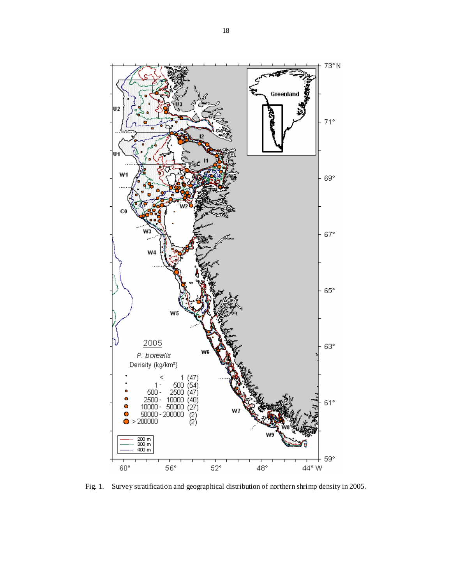

Fig. 1. Survey stratification and geographical distribution of northern shrimp density in 2005.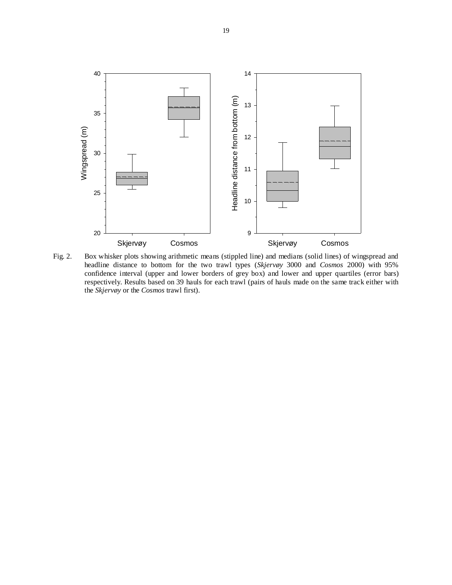

Fig. 2. Box whisker plots showing arithmetic means (stippled line) and medians (solid lines) of wingspread and headline distance to bottom for the two trawl types (*Skjervøy* 3000 and *Cosmos* 2000) with 95% confidence interval (upper and lower borders of grey box) and lower and upper quartiles (error bars) respectively. Results based on 39 hauls for each trawl (pairs of hauls made on the same track either with the *Skjervøy* or the *Cosmos* trawl first).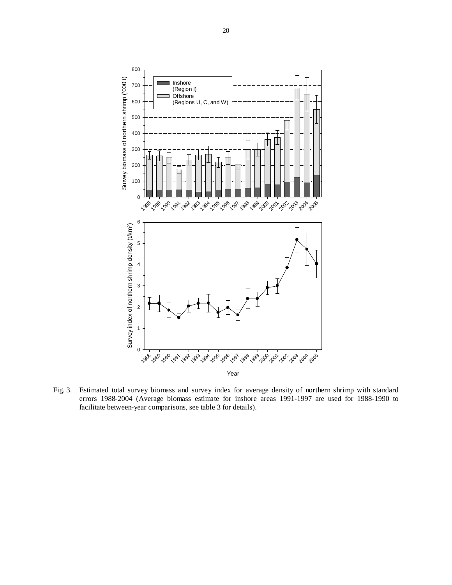

Fig. 3. Estimated total survey biomass and survey index for average density of northern shrimp with standard errors 1988-2004 (Average biomass estimate for inshore areas 1991-1997 are used for 1988-1990 to facilitate between-year comparisons, see table 3 for details).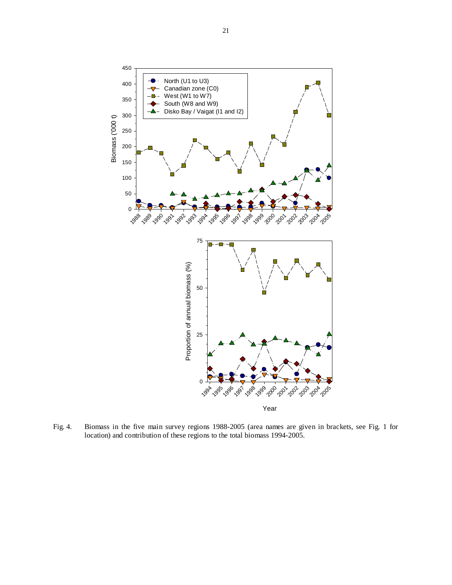

Fig. 4. Biomass in the five main survey regions 1988-2005 (area names are given in brackets, see Fig. 1 for location) and contribution of these regions to the total biomass 1994-2005.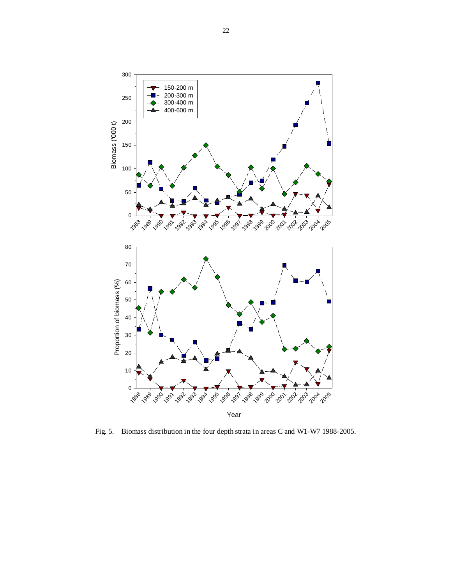

Fig. 5. Biomass distribution in the four depth strata in areas C and W1-W7 1988-2005.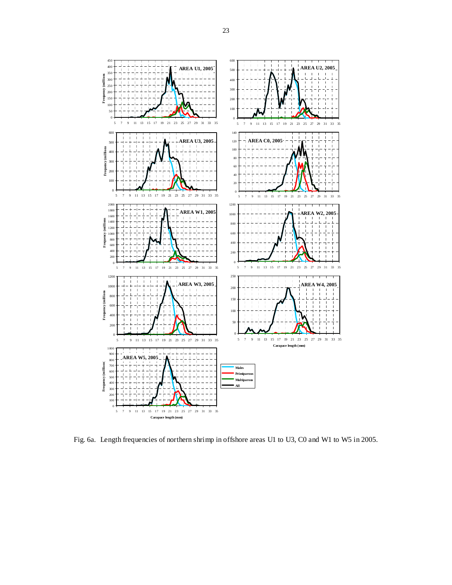

Fig. 6a. Length frequencies of northern shrimp in offshore areas U1 to U3, C0 and W1 to W5 in 2005.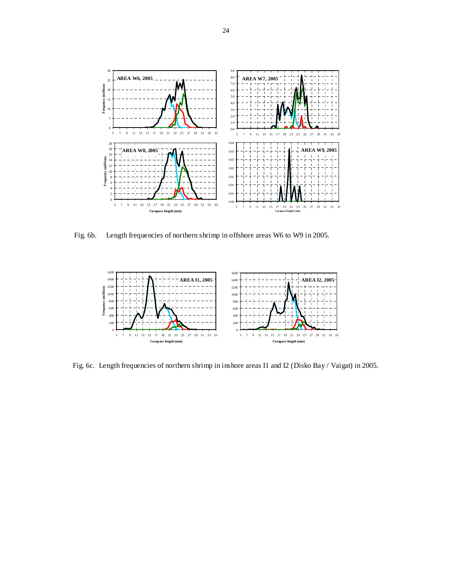

Fig. 6b. Length frequencies of northern shrimp in offshore areas W6 to W9 in 2005.



Fig. 6c. Length frequencies of northern shrimp in inshore areas I1 and I2 (Disko Bay / Vaigat) in 2005.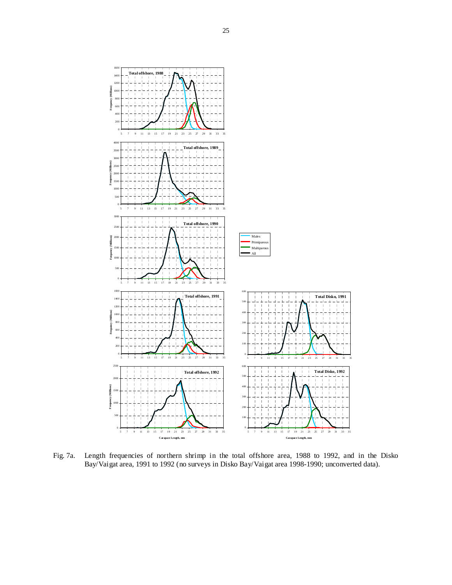

Fig. 7a. Length frequencies of northern shrimp in the total offshore area, 1988 to 1992, and in the Disko Bay/Vaigat area, 1991 to 1992 (no surveys in Disko Bay/Vaigat area 1998-1990; unconverted data).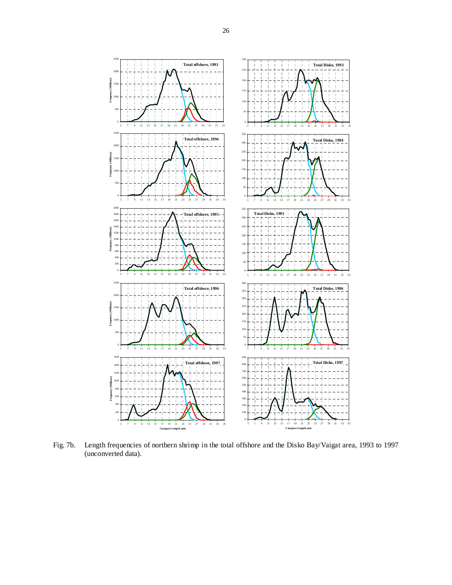

Fig. 7b. Length frequencies of northern shrimp in the total offshore and the Disko Bay/Vaigat area, 1993 to 1997 (unconverted data).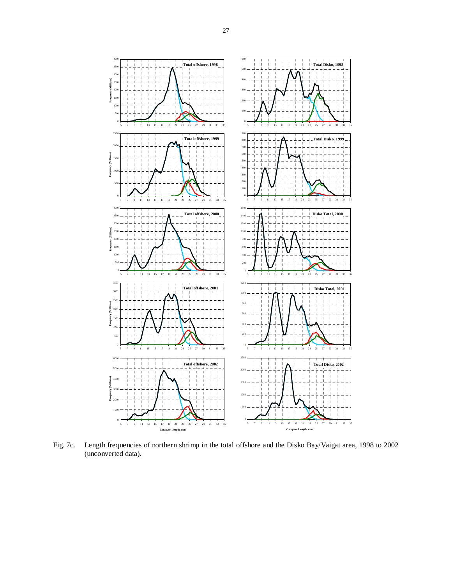

Fig. 7c. Length frequencies of northern shrimp in the total offshore and the Disko Bay/Vaigat area, 1998 to 2002 (unconverted data).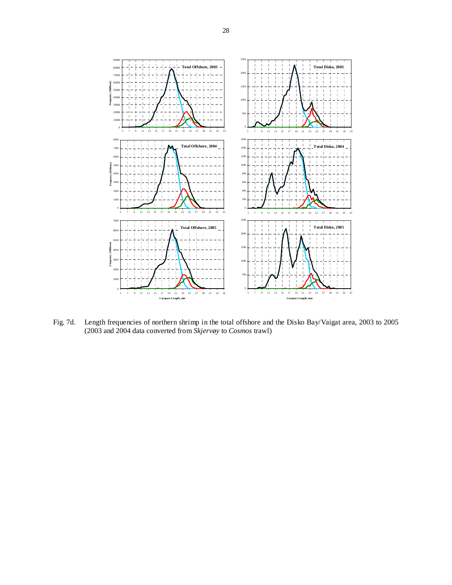

Fig. 7d. Length frequencies of northern shrimp in the total offshore and the Disko Bay/Vaigat area, 2003 to 2005 (2003 and 2004 data converted from *Skjervøy* to *Cosmos* trawl)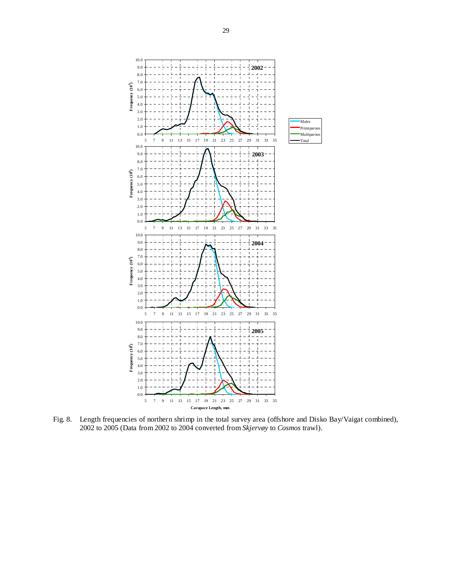

Fig. 8. Length frequencies of northern shrimp in the total survey area (offshore and Disko Bay/Vaigat combined), 2002 to 2005 (Data from 2002 to 2004 converted from *Skjervøy* to *Cosmos* trawl).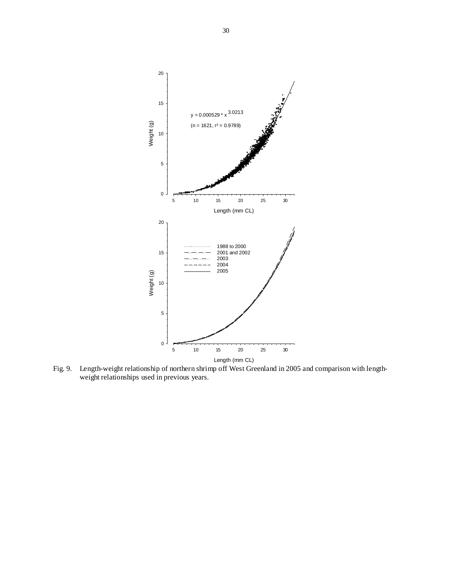

Fig. 9. Length-weight relationship of northern shrimp off West Greenland in 2005 and comparison with lengthweight relationships used in previous years.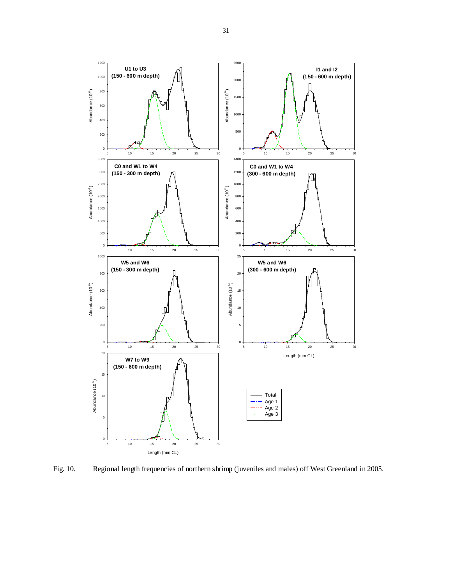

Fig. 10. Regional length frequencies of northern shrimp (juveniles and males) off West Greenland in 2005.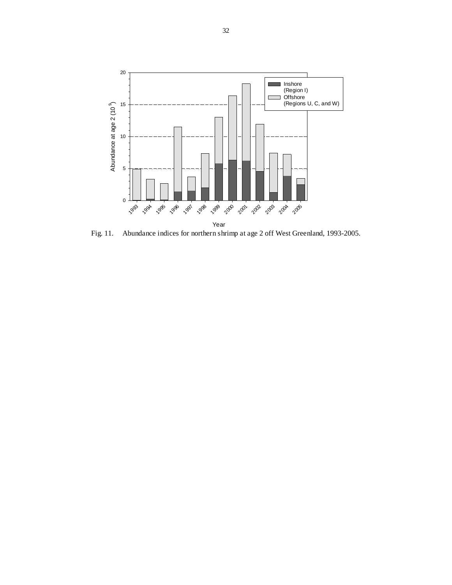

Fig. 11. Abundance indices for northern shrimp at age 2 off West Greenland, 1993-2005.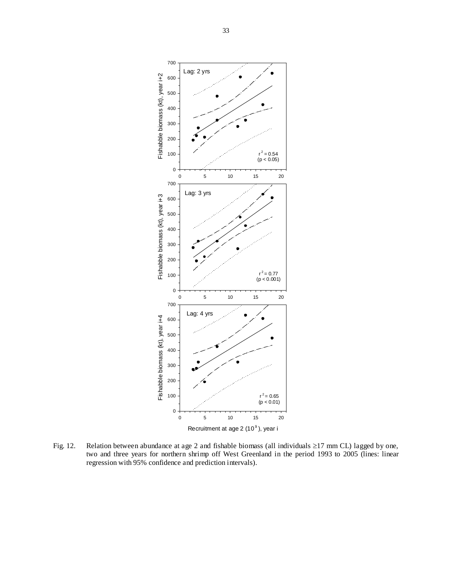

Fig. 12. Relation between abundance at age 2 and fishable biomass (all individuals ≥17 mm CL) lagged by one, two and three years for northern shrimp off West Greenland in the period 1993 to 2005 (lines: linear regression with 95% confidence and prediction intervals).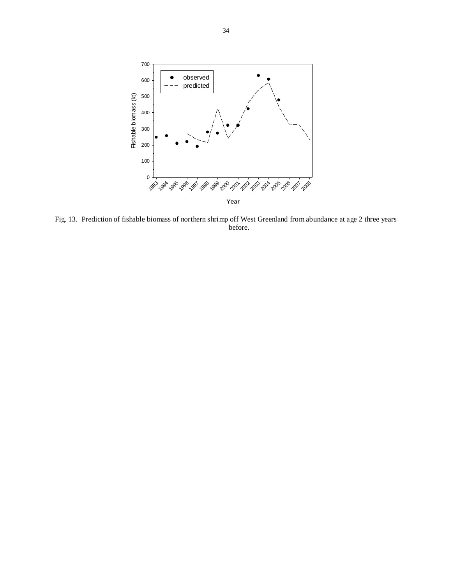

Fig. 13. Prediction of fishable biomass of northern shrimp off West Greenland from abundance at age 2 three years before.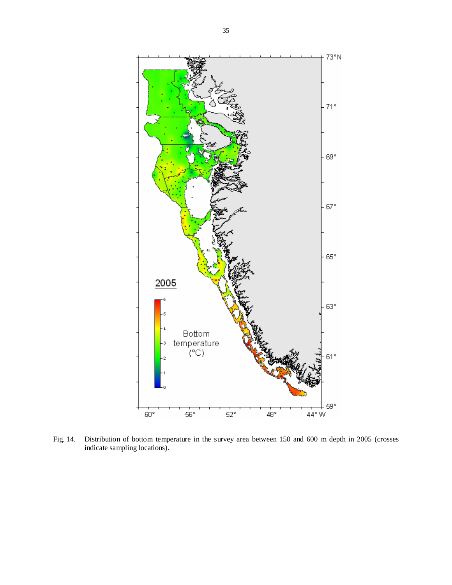

Fig. 14. Distribution of bottom temperature in the survey area between 150 and 600 m depth in 2005 (crosses indicate sampling locations).